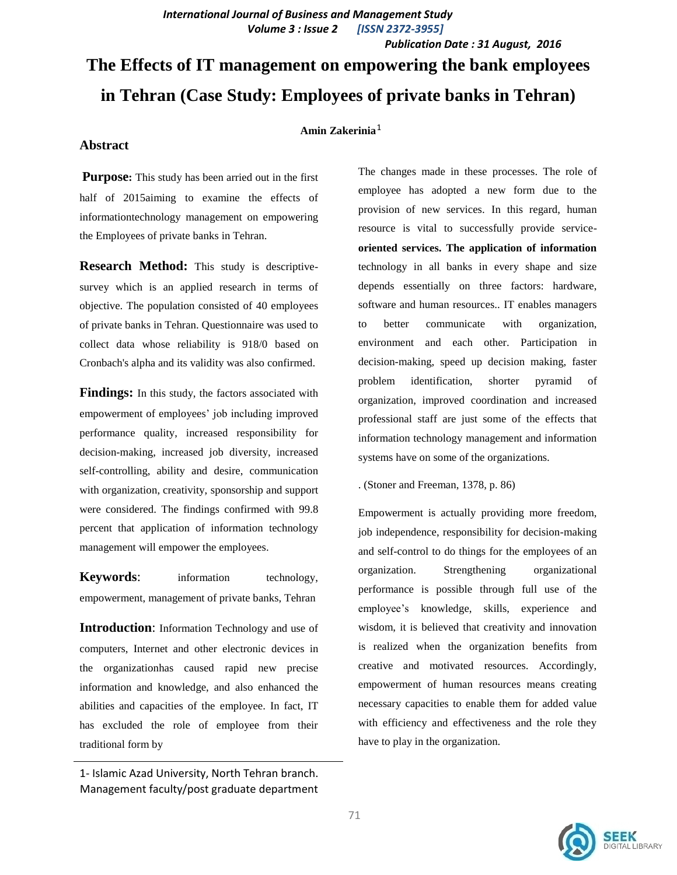*International Journal of Business and Management Study Volume 3 : Issue 2 [ISSN 2372-3955]*

 *Publication Date : 31 August, 2016*

# **The Effects of IT management on empowering the bank employees in Tehran (Case Study: Employees of private banks in Tehran)**

## **Amin Zakerinia** 1

#### **Abstract**

**Purpose:** This study has been arried out in the first half of 2015aiming to examine the effects of informationtechnology management on empowering the Employees of private banks in Tehran.

**Research Method:** This study is descriptivesurvey which is an applied research in terms of objective. The population consisted of 40 employees of private banks in Tehran. Questionnaire was used to collect data whose reliability is 918/0 based on Cronbach's alpha and its validity was also confirmed.

**Findings:** In this study, the factors associated with empowerment of employees' job including improved performance quality, increased responsibility for decision-making, increased job diversity, increased self-controlling, ability and desire, communication with organization, creativity, sponsorship and support were considered. The findings confirmed with 99.8 percent that application of information technology management will empower the employees.

**Keywords:** information technology, empowerment, management of private banks, Tehran

**Introduction:** Information Technology and use of computers, Internet and other electronic devices in the organizationhas caused rapid new precise information and knowledge, and also enhanced the abilities and capacities of the employee. In fact, IT has excluded the role of employee from their traditional form by

The changes made in these processes. The role of employee has adopted a new form due to the provision of new services. In this regard, human resource is vital to successfully provide service**oriented services. The application of information** technology in all banks in every shape and size depends essentially on three factors: hardware, software and human resources.. IT enables managers to better communicate with organization, environment and each other. Participation in decision-making, speed up decision making, faster problem identification, shorter pyramid of organization, improved coordination and increased professional staff are just some of the effects that information technology management and information systems have on some of the organizations.

. (Stoner and Freeman, 1378, p. 86)

Empowerment is actually providing more freedom, job independence, responsibility for decision-making and self-control to do things for the employees of an organization. Strengthening organizational performance is possible through full use of the employee's knowledge, skills, experience and wisdom, it is believed that creativity and innovation is realized when the organization benefits from creative and motivated resources. Accordingly, empowerment of human resources means creating necessary capacities to enable them for added value with efficiency and effectiveness and the role they have to play in the organization.



<sup>1-</sup> Islamic Azad University, North Tehran branch. Management faculty/post graduate department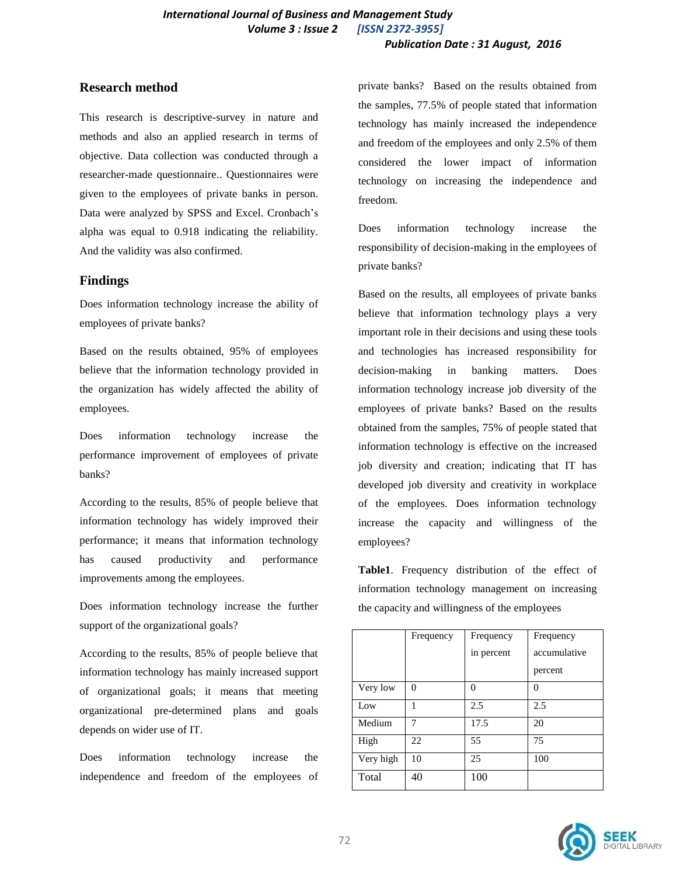## **Research method**

This research is descriptive-survey in nature and methods and also an applied research in terms of objective. Data collection was conducted through a researcher-made questionnaire.. Questionnaires were given to the employees of private banks in person. Data were analyzed by SPSS and Excel. Cronbach's alpha was equal to 0.918 indicating the reliability. And the validity was also confirmed.

## **Findings**

Does information technology increase the ability of employees of private banks?

Based on the results obtained, 95% of employees believe that the information technology provided in the organization has widely affected the ability of employees.

Does information technology increase the performance improvement of employees of private banks?

According to the results, 85% of people believe that information technology has widely improved their performance; it means that information technology has caused productivity and performance improvements among the employees.

Does information technology increase the further support of the organizational goals?

According to the results, 85% of people believe that information technology has mainly increased support of organizational goals; it means that meeting organizational pre-determined plans and goals depends on wider use of IT.

Does information technology increase the independence and freedom of the employees of private banks? Based on the results obtained from the samples, 77.5% of people stated that information technology has mainly increased the independence and freedom of the employees and only 2.5% of them considered the lower impact of information technology on increasing the independence and freedom.

Does information technology increase the responsibility of decision-making in the employees of private banks?

Based on the results, all employees of private banks believe that information technology plays a very important role in their decisions and using these tools and technologies has increased responsibility for decision-making in banking matters. Does information technology increase job diversity of the employees of private banks? Based on the results obtained from the samples, 75% of people stated that information technology is effective on the increased job diversity and creation; indicating that IT has developed job diversity and creativity in workplace of the employees. Does information technology increase the capacity and willingness of the employees?

**Table1**. Frequency distribution of the effect of information technology management on increasing the capacity and willingness of the employees

|           | Frequency | Frequency  | Frequency    |
|-----------|-----------|------------|--------------|
|           |           | in percent | accumulative |
|           |           |            | percent      |
| Very low  | $\Omega$  | $\Omega$   | 0            |
| Low       | 1         | 2.5        | 2.5          |
| Medium    | 7         | 17.5       | 20           |
| High      | 22        | 55         | 75           |
| Very high | 10        | 25         | 100          |
| Total     | 40        | 100        |              |

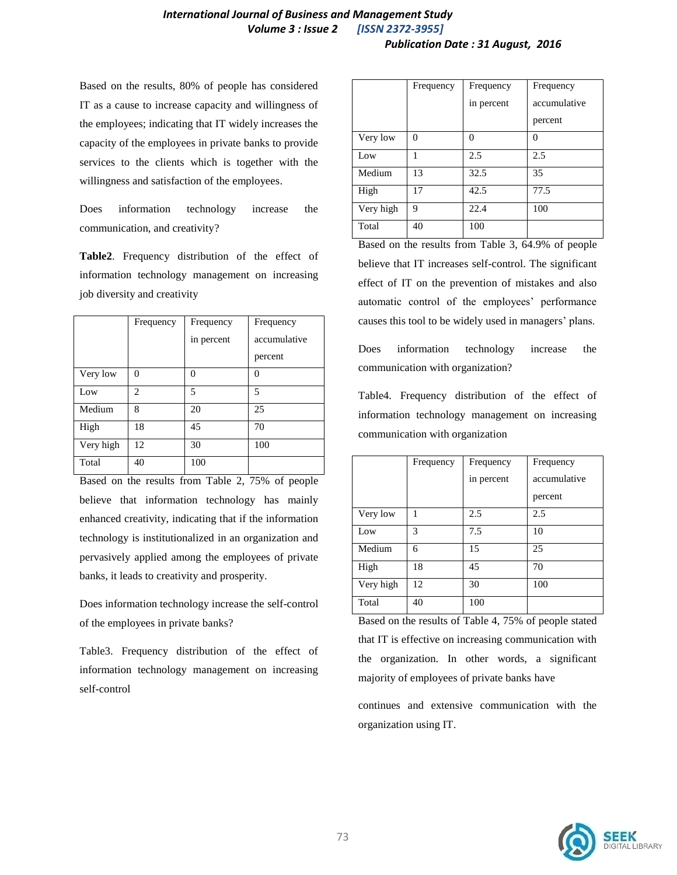# *International Journal of Business and Management Study Volume 3 : Issue 2 [ISSN 2372-3955]*

#### *Publication Date : 31 August, 2016*

Based on the results, 80% of people has considered IT as a cause to increase capacity and willingness of the employees; indicating that IT widely increases the capacity of the employees in private banks to provide services to the clients which is together with the willingness and satisfaction of the employees.

Does information technology increase the communication, and creativity?

**Table2**. Frequency distribution of the effect of information technology management on increasing job diversity and creativity

|           | Frequency      | Frequency  | Frequency    |
|-----------|----------------|------------|--------------|
|           |                | in percent | accumulative |
|           |                |            | percent      |
| Very low  | $\Omega$       | $\Omega$   | 0            |
| Low       | $\mathfrak{D}$ | 5          | 5            |
| Medium    | 8              | 20         | 25           |
| High      | 18             | 45         | 70           |
| Very high | 12             | 30         | 100          |
| Total     | 40             | 100        |              |

Based on the results from Table 2, 75% of people believe that information technology has mainly enhanced creativity, indicating that if the information technology is institutionalized in an organization and pervasively applied among the employees of private banks, it leads to creativity and prosperity.

Does information technology increase the self-control of the employees in private banks?

Table3. Frequency distribution of the effect of information technology management on increasing self-control

|           | Frequency | Frequency  | Frequency    |
|-----------|-----------|------------|--------------|
|           |           | in percent | accumulative |
|           |           |            | percent      |
| Very low  | 0         | $\theta$   | 0            |
| Low       |           | 2.5        | 2.5          |
| Medium    | 13        | 32.5       | 35           |
| High      | 17        | 42.5       | 77.5         |
| Very high | 9         | 22.4       | 100          |
| Total     | 40        | 100        |              |

Based on the results from Table 3, 64.9% of people believe that IT increases self-control. The significant effect of IT on the prevention of mistakes and also automatic control of the employees' performance causes this tool to be widely used in managers' plans.

Does information technology increase the communication with organization?

Table4. Frequency distribution of the effect of information technology management on increasing communication with organization

|           | Frequency | Frequency  | Frequency    |
|-----------|-----------|------------|--------------|
|           |           | in percent | accumulative |
|           |           |            | percent      |
| Very low  | 1         | 2.5        | 2.5          |
| Low       | 3         | 7.5        | 10           |
| Medium    | 6         | 15         | 25           |
| High      | 18        | 45         | 70           |
| Very high | 12        | 30         | 100          |
| Total     | 40        | 100        |              |

Based on the results of Table 4, 75% of people stated that IT is effective on increasing communication with the organization. In other words, a significant majority of employees of private banks have

continues and extensive communication with the organization using IT.

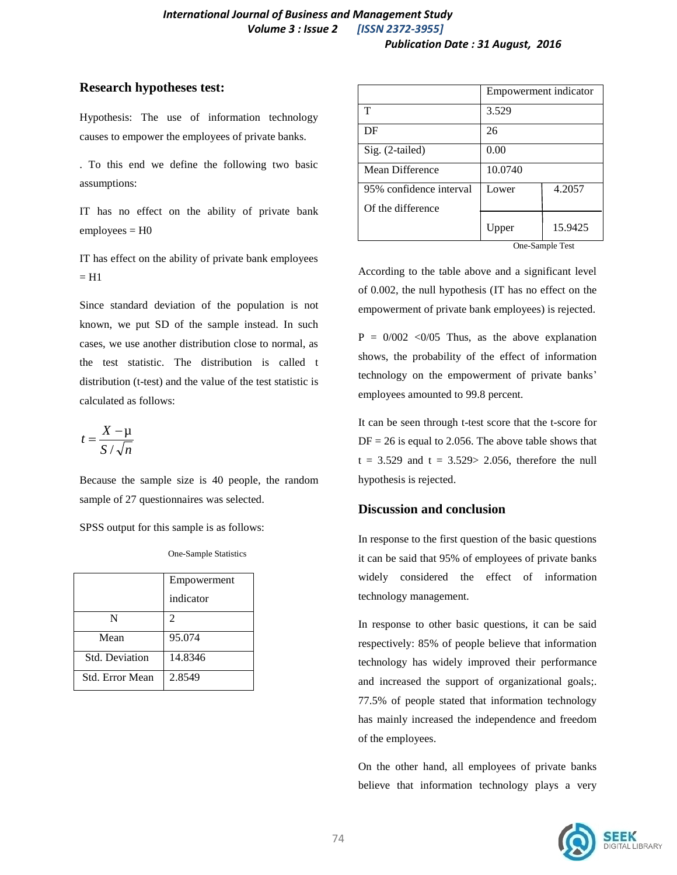## **Research hypotheses test:**

Hypothesis: The use of information technology causes to empower the employees of private banks.

. To this end we define the following two basic assumptions:

IT has no effect on the ability of private bank  $employees = H0$ 

IT has effect on the ability of private bank employees  $=$  H1

Since standard deviation of the population is not known, we put SD of the sample instead. In such cases, we use another distribution close to normal, as the test statistic. The distribution is called t distribution (t-test) and the value of the test statistic is calculated as follows:

$$
t = \frac{X - \mu}{S / \sqrt{n}}
$$

Because the sample size is 40 people, the random sample of 27 questionnaires was selected.

SPSS output for this sample is as follows:

One-Sample Statistics

|                       | Empowerment |
|-----------------------|-------------|
|                       | indicator   |
| N                     | 2           |
| Mean                  | 95.074      |
| <b>Std.</b> Deviation | 14.8346     |
| Std. Error Mean       | 2.8549      |

|                         | Empowerment indicator |         |
|-------------------------|-----------------------|---------|
| т                       | 3.529                 |         |
| DF                      | 26                    |         |
| Sig. (2-tailed)         | 0.00                  |         |
| Mean Difference         | 10.0740               |         |
| 95% confidence interval | Lower                 | 4.2057  |
| Of the difference       |                       |         |
|                         | Upper                 | 15.9425 |

One-Sample Test

According to the table above and a significant level of 0.002, the null hypothesis (IT has no effect on the empowerment of private bank employees) is rejected.

 $P = 0/002$  < 0/05 Thus, as the above explanation shows, the probability of the effect of information technology on the empowerment of private banks' employees amounted to 99.8 percent.

It can be seen through t-test score that the t-score for  $DF = 26$  is equal to 2.056. The above table shows that  $t = 3.529$  and  $t = 3.529 > 2.056$ , therefore the null hypothesis is rejected.

## **Discussion and conclusion**

In response to the first question of the basic questions it can be said that 95% of employees of private banks widely considered the effect of information technology management.

In response to other basic questions, it can be said respectively: 85% of people believe that information technology has widely improved their performance and increased the support of organizational goals;. 77.5% of people stated that information technology has mainly increased the independence and freedom of the employees.

On the other hand, all employees of private banks believe that information technology plays a very